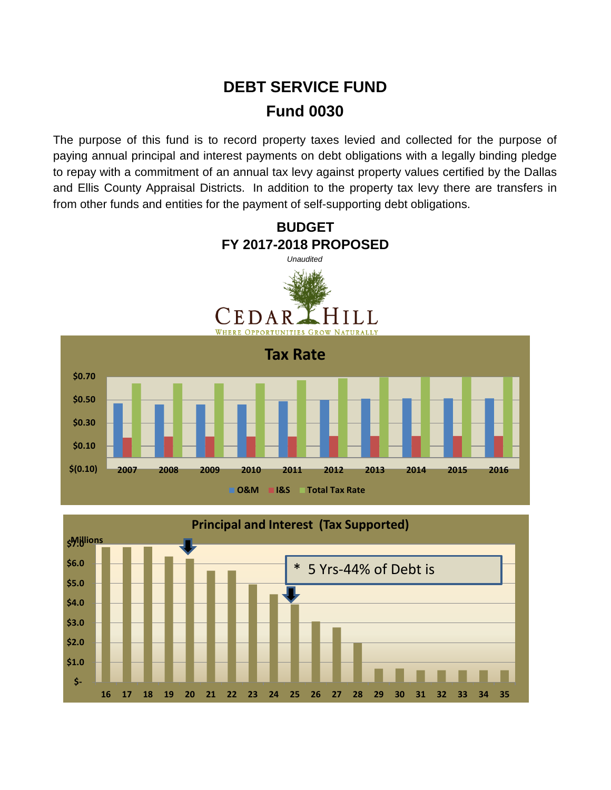## **DEBT SERVICE FUND Fund 0030**

The purpose of this fund is to record property taxes levied and collected for the purpose of paying annual principal and interest payments on debt obligations with a legally binding pledge to repay with a commitment of an annual tax levy against property values certified by the Dallas and Ellis County Appraisal Districts. In addition to the property tax levy there are transfers in from other funds and entities for the payment of self-supporting debt obligations.



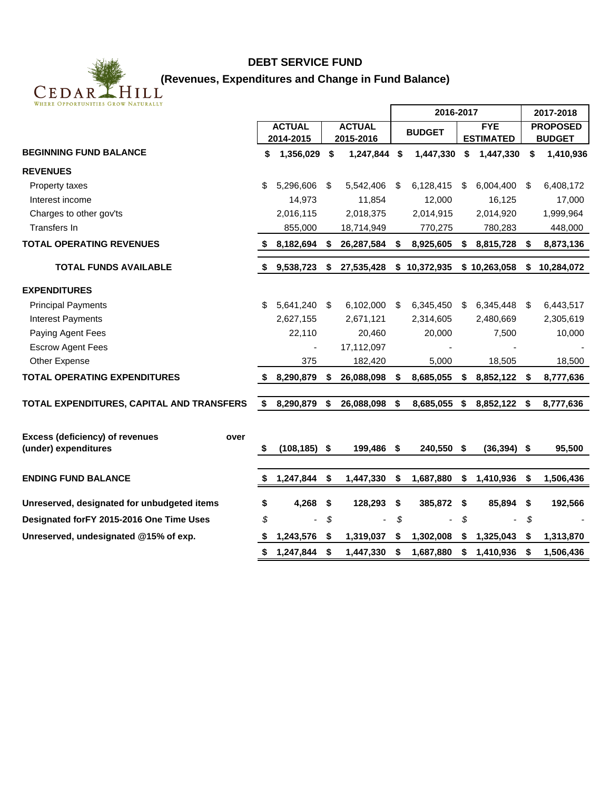

## **DEBT SERVICE FUND**

| WHERE OPPORTUNITIES GROW NATURALLY                                     |      |                                |    |               |           |            |                  |                 |           |               |
|------------------------------------------------------------------------|------|--------------------------------|----|---------------|-----------|------------|------------------|-----------------|-----------|---------------|
|                                                                        |      |                                |    |               | 2016-2017 |            |                  |                 | 2017-2018 |               |
|                                                                        |      | <b>ACTUAL</b><br><b>ACTUAL</b> |    | <b>BUDGET</b> |           | <b>FYE</b> |                  | <b>PROPOSED</b> |           |               |
|                                                                        |      | 2014-2015                      |    | 2015-2016     |           |            | <b>ESTIMATED</b> |                 |           | <b>BUDGET</b> |
| <b>BEGINNING FUND BALANCE</b>                                          | \$   | 1,356,029                      | \$ | 1,247,844 \$  |           | 1,447,330  | \$               | 1,447,330       | \$        | 1,410,936     |
| <b>REVENUES</b>                                                        |      |                                |    |               |           |            |                  |                 |           |               |
| Property taxes                                                         | \$   | 5,296,606                      | S. | 5,542,406     | - \$      | 6,128,415  | S                | 6,004,400       | - \$      | 6,408,172     |
| Interest income                                                        |      | 14,973                         |    | 11,854        |           | 12,000     |                  | 16,125          |           | 17,000        |
| Charges to other gov'ts                                                |      | 2,016,115                      |    | 2,018,375     |           | 2,014,915  |                  | 2,014,920       |           | 1,999,964     |
| Transfers In                                                           |      | 855,000                        |    | 18,714,949    |           | 770,275    |                  | 780,283         |           | 448,000       |
| <b>TOTAL OPERATING REVENUES</b>                                        |      | 8,182,694                      | S. | 26,287,584    | \$        | 8,925,605  | \$               | 8,815,728       | \$        | 8,873,136     |
| <b>TOTAL FUNDS AVAILABLE</b>                                           |      | \$9,538,723                    | \$ | 27,535,428    | \$        | 10,372,935 |                  | \$10,263,058    | \$        | 10,284,072    |
| <b>EXPENDITURES</b>                                                    |      |                                |    |               |           |            |                  |                 |           |               |
| <b>Principal Payments</b>                                              | \$   | 5,641,240                      | \$ | 6,102,000     | -\$       | 6,345,450  | S.               | 6,345,448 \$    |           | 6,443,517     |
| <b>Interest Payments</b>                                               |      | 2,627,155                      |    | 2,671,121     |           | 2,314,605  |                  | 2,480,669       |           | 2,305,619     |
| Paying Agent Fees                                                      |      | 22,110                         |    | 20,460        |           | 20,000     |                  | 7,500           |           | 10,000        |
| <b>Escrow Agent Fees</b>                                               |      |                                |    | 17,112,097    |           |            |                  |                 |           |               |
| Other Expense                                                          |      | 375                            |    | 182,420       |           | 5,000      |                  | 18,505          |           | 18,500        |
| <b>TOTAL OPERATING EXPENDITURES</b>                                    | - \$ | 8,290,879                      | \$ | 26,088,098    | \$        | 8,685,055  | \$               | 8,852,122 \$    |           | 8,777,636     |
| TOTAL EXPENDITURES, CAPITAL AND TRANSFERS                              | \$   | 8,290,879                      | \$ | 26,088,098    | \$        | 8,685,055  | \$               | 8,852,122 \$    |           | 8,777,636     |
| <b>Excess (deficiency) of revenues</b><br>over<br>(under) expenditures | S    | $(108, 185)$ \$                |    | 199,486       | \$        | 240,550 \$ |                  | $(36, 394)$ \$  |           | 95,500        |
|                                                                        |      |                                |    |               |           |            |                  |                 |           |               |
| <b>ENDING FUND BALANCE</b>                                             | \$   | 1,247,844                      | \$ | 1,447,330     | \$        | 1,687,880  | \$               | 1,410,936       | \$        | 1,506,436     |
| Unreserved, designated for unbudgeted items                            | \$   | 4,268                          | \$ | 128,293       | \$        | 385,872    | \$               | 85,894 \$       |           | 192,566       |
| Designated for FY 2015-2016 One Time Uses                              | \$   |                                | \$ |               | \$        |            | \$               |                 | \$        |               |
| Unreserved, undesignated @15% of exp.                                  | - 56 | 1,243,576                      | \$ | 1,319,037     | S         | 1,302,008  | \$               | 1,325,043       | S         | 1,313,870     |
|                                                                        | \$   | 1,247,844                      | \$ | 1,447,330     | \$        | 1,687,880  | \$               | 1,410,936       | \$        | 1,506,436     |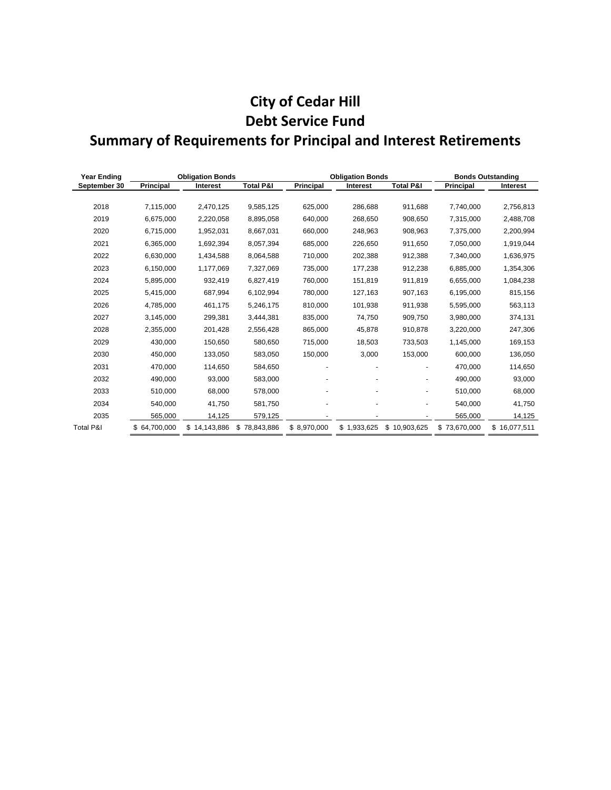## **City of Cedar Hill Debt Service Fund Summary of Requirements for Principal and Interest Retirements**

| <b>Year Ending</b>   | <b>Obligation Bonds</b> |                 |                      |                  | <b>Obligation Bonds</b> | <b>Bonds Outstanding</b> |                  |                 |
|----------------------|-------------------------|-----------------|----------------------|------------------|-------------------------|--------------------------|------------------|-----------------|
| September 30         | <b>Principal</b>        | <b>Interest</b> | <b>Total P&amp;I</b> | <b>Principal</b> | <b>Interest</b>         | <b>Total P&amp;I</b>     | <b>Principal</b> | <b>Interest</b> |
|                      |                         |                 |                      |                  |                         |                          |                  |                 |
| 2018                 | 7,115,000               | 2,470,125       | 9,585,125            | 625,000          | 286,688                 | 911,688                  | 7,740,000        | 2,756,813       |
| 2019                 | 6,675,000               | 2,220,058       | 8,895,058            | 640,000          | 268,650                 | 908,650                  | 7,315,000        | 2,488,708       |
| 2020                 | 6,715,000               | 1,952,031       | 8,667,031            | 660,000          | 248,963                 | 908,963                  | 7,375,000        | 2,200,994       |
| 2021                 | 6,365,000               | 1,692,394       | 8,057,394            | 685,000          | 226,650                 | 911,650                  | 7,050,000        | 1,919,044       |
| 2022                 | 6,630,000               | 1,434,588       | 8,064,588            | 710,000          | 202,388                 | 912,388                  | 7,340,000        | 1,636,975       |
| 2023                 | 6,150,000               | 1,177,069       | 7,327,069            | 735,000          | 177,238                 | 912,238                  | 6,885,000        | 1,354,306       |
| 2024                 | 5,895,000               | 932,419         | 6,827,419            | 760,000          | 151,819                 | 911,819                  | 6,655,000        | 1,084,238       |
| 2025                 | 5,415,000               | 687,994         | 6,102,994            | 780.000          | 127,163                 | 907,163                  | 6,195,000        | 815,156         |
| 2026                 | 4,785,000               | 461,175         | 5,246,175            | 810,000          | 101,938                 | 911,938                  | 5,595,000        | 563,113         |
| 2027                 | 3,145,000               | 299,381         | 3,444,381            | 835,000          | 74,750                  | 909,750                  | 3,980,000        | 374,131         |
| 2028                 | 2,355,000               | 201,428         | 2,556,428            | 865,000          | 45,878                  | 910,878                  | 3,220,000        | 247,306         |
| 2029                 | 430.000                 | 150,650         | 580,650              | 715,000          | 18,503                  | 733,503                  | 1,145,000        | 169,153         |
| 2030                 | 450,000                 | 133,050         | 583,050              | 150,000          | 3,000                   | 153,000                  | 600,000          | 136,050         |
| 2031                 | 470,000                 | 114,650         | 584,650              |                  |                         |                          | 470,000          | 114,650         |
| 2032                 | 490,000                 | 93.000          | 583,000              |                  |                         |                          | 490,000          | 93,000          |
| 2033                 | 510.000                 | 68,000          | 578.000              |                  |                         | ÷                        | 510.000          | 68,000          |
| 2034                 | 540,000                 | 41,750          | 581,750              |                  |                         |                          | 540,000          | 41,750          |
| 2035                 | 565,000                 | 14,125          | 579,125              |                  |                         |                          | 565,000          | 14,125          |
| <b>Total P&amp;I</b> | \$64,700,000            | \$14,143,886    | \$78,843,886         | \$8,970,000      | \$1,933,625             | \$10,903,625             | \$73,670,000     | \$16,077,511    |